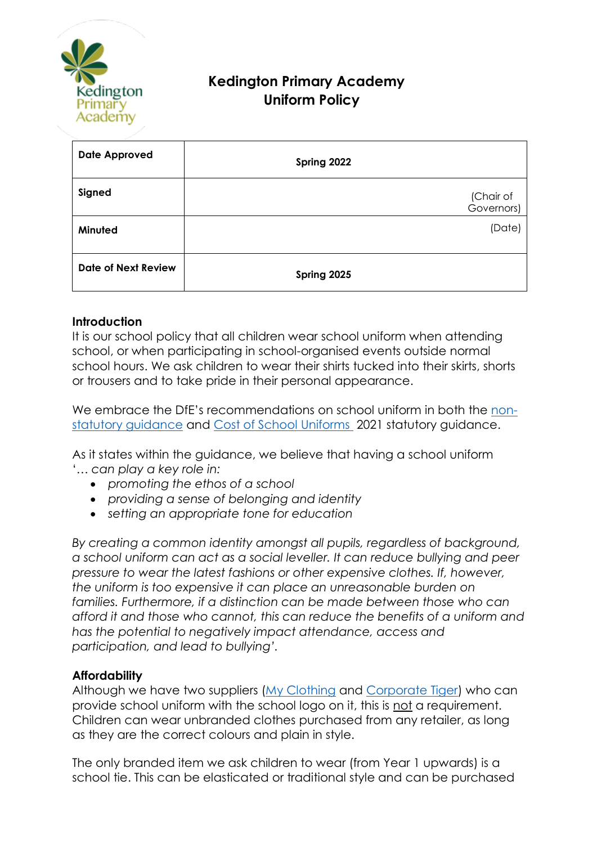

# **Kedington Primary Academy Uniform Policy**

| <b>Date Approved</b>       | Spring 2022             |
|----------------------------|-------------------------|
| Signed                     | (Chair of<br>Governors) |
| Minuted                    | (Date)                  |
| <b>Date of Next Review</b> | Spring 2025             |

#### **Introduction**

It is our school policy that all children wear school uniform when attending school, or when participating in school-organised events outside normal school hours. We ask children to wear their shirts tucked into their skirts, shorts or trousers and to take pride in their personal appearance.

We embrace the DfE's recommendations on school uniform in both the [non](https://www.gov.uk/government/publications/school-uniform/school-uniforms)[statutory guidance](https://www.gov.uk/government/publications/school-uniform/school-uniforms) and [Cost of School Uniforms](https://www.gov.uk/government/publications/cost-of-school-uniforms/cost-of-school-uniforms) 2021 statutory guidance.

As it states within the guidance, we believe that having a school uniform '*… can play a key role in:*

- *promoting the ethos of a school*
- *providing a sense of belonging and identity*
- *setting an appropriate tone for education*

*By creating a common identity amongst all pupils, regardless of background, a school uniform can act as a social leveller. It can reduce bullying and peer pressure to wear the latest fashions or other expensive clothes. If, however, the uniform is too expensive it can place an unreasonable burden on families. Furthermore, if a distinction can be made between those who can afford it and those who cannot, this can reduce the benefits of a uniform and has the potential to negatively impact attendance, access and participation, and lead to bullying'.*

#### **Affordability**

Although we have two suppliers [\(My Clothing](https://myclothing.com/kedington-primary-academy/18185.school) and [Corporate Tiger\)](https://corporatetiger.co.uk/?product_cat=kedington) who can provide school uniform with the school logo on it, this is not a requirement. Children can wear unbranded clothes purchased from any retailer, as long as they are the correct colours and plain in style.

The only branded item we ask children to wear (from Year 1 upwards) is a school tie. This can be elasticated or traditional style and can be purchased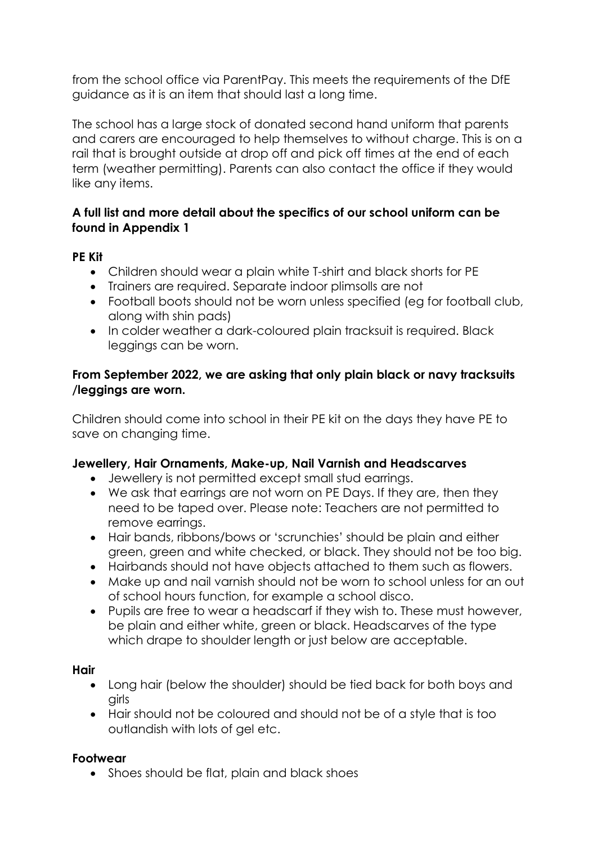from the school office via ParentPay. This meets the requirements of the DfE guidance as it is an item that should last a long time.

The school has a large stock of donated second hand uniform that parents and carers are encouraged to help themselves to without charge. This is on a rail that is brought outside at drop off and pick off times at the end of each term (weather permitting). Parents can also contact the office if they would like any items.

# **A full list and more detail about the specifics of our school uniform can be found in Appendix 1**

# **PE Kit**

- Children should wear a plain white T-shirt and black shorts for PE
- Trainers are required. Separate indoor plimsolls are not
- Football boots should not be worn unless specified (eg for football club, along with shin pads)
- In colder weather a dark-coloured plain tracksuit is required. Black leggings can be worn.

#### **From September 2022, we are asking that only plain black or navy tracksuits /leggings are worn.**

Children should come into school in their PE kit on the days they have PE to save on changing time.

# **Jewellery, Hair Ornaments, Make-up, Nail Varnish and Headscarves**

- Jewellery is not permitted except small stud earrings.
- We ask that earrings are not worn on PE Days. If they are, then they need to be taped over. Please note: Teachers are not permitted to remove earrings.
- Hair bands, ribbons/bows or 'scrunchies' should be plain and either green, green and white checked, or black. They should not be too big.
- Hairbands should not have objects attached to them such as flowers.
- Make up and nail varnish should not be worn to school unless for an out of school hours function, for example a school disco.
- Pupils are free to wear a headscarf if they wish to. These must however, be plain and either white, green or black. Headscarves of the type which drape to shoulder length or just below are acceptable.

#### **Hair**

- Long hair (below the shoulder) should be tied back for both boys and girls
- Hair should not be coloured and should not be of a style that is too outlandish with lots of gel etc.

#### **Footwear**

• Shoes should be flat, plain and black shoes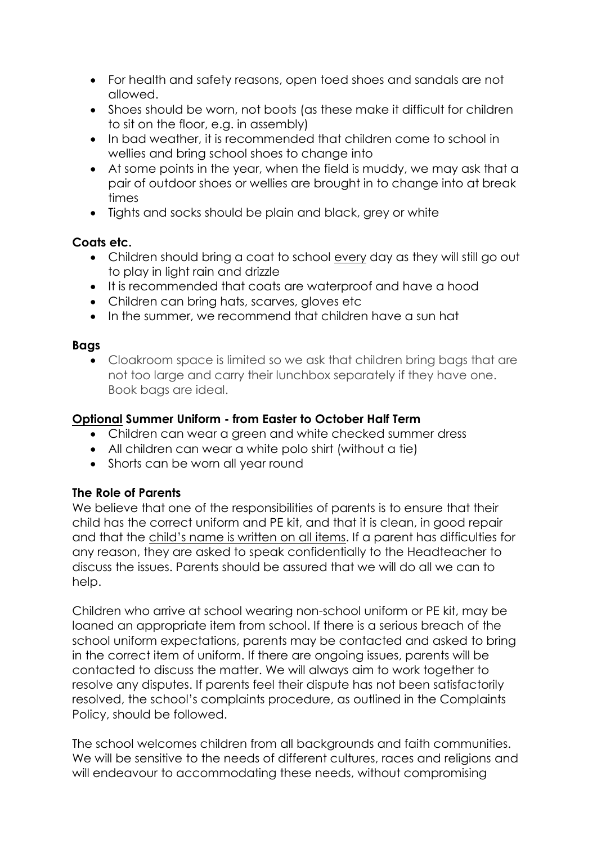- For health and safety reasons, open toed shoes and sandals are not allowed.
- Shoes should be worn, not boots (as these make it difficult for children to sit on the floor, e.g. in assembly)
- In bad weather, it is recommended that children come to school in wellies and bring school shoes to change into
- At some points in the year, when the field is muddy, we may ask that a pair of outdoor shoes or wellies are brought in to change into at break times
- Tights and socks should be plain and black, grey or white

# **Coats etc.**

- Children should bring a coat to school every day as they will still go out to play in light rain and drizzle
- It is recommended that coats are waterproof and have a hood
- Children can bring hats, scarves, gloves etc
- In the summer, we recommend that children have a sun hat

# **Bags**

• Cloakroom space is limited so we ask that children bring bags that are not too large and carry their lunchbox separately if they have one. Book bags are ideal.

# **Optional Summer Uniform - from Easter to October Half Term**

- Children can wear a green and white checked summer dress
- All children can wear a white polo shirt (without a tie)
- Shorts can be worn all year round

#### **The Role of Parents**

We believe that one of the responsibilities of parents is to ensure that their child has the correct uniform and PE kit, and that it is clean, in good repair and that the child's name is written on all items. If a parent has difficulties for any reason, they are asked to speak confidentially to the Headteacher to discuss the issues. Parents should be assured that we will do all we can to help.

Children who arrive at school wearing non-school uniform or PE kit, may be loaned an appropriate item from school. If there is a serious breach of the school uniform expectations, parents may be contacted and asked to bring in the correct item of uniform. If there are ongoing issues, parents will be contacted to discuss the matter. We will always aim to work together to resolve any disputes. If parents feel their dispute has not been satisfactorily resolved, the school's complaints procedure, as outlined in the Complaints Policy, should be followed.

The school welcomes children from all backgrounds and faith communities. We will be sensitive to the needs of different cultures, races and religions and will endeavour to accommodating these needs, without compromising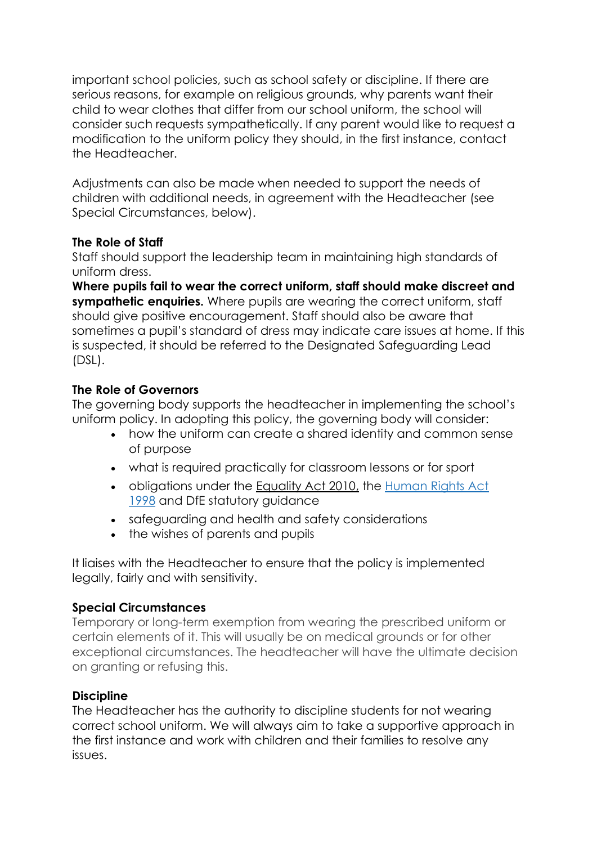important school policies, such as school safety or discipline. If there are serious reasons, for example on religious grounds, why parents want their child to wear clothes that differ from our school uniform, the school will consider such requests sympathetically. If any parent would like to request a modification to the uniform policy they should, in the first instance, contact the Headteacher.

Adjustments can also be made when needed to support the needs of children with additional needs, in agreement with the Headteacher (see Special Circumstances, below).

# **The Role of Staff**

Staff should support the leadership team in maintaining high standards of uniform dress.

**Where pupils fail to wear the correct uniform, staff should make discreet and sympathetic enquiries.** Where pupils are wearing the correct uniform, staff should give positive encouragement. Staff should also be aware that sometimes a pupil's standard of dress may indicate care issues at home. If this is suspected, it should be referred to the Designated Safeguarding Lead (DSL).

# **The Role of Governors**

The governing body supports the headteacher in implementing the school's uniform policy. In adopting this policy, the governing body will consider:

- how the uniform can create a shared identity and common sense of purpose
- what is required practically for classroom lessons or for sport
- obligations under the [Equality Act 2010,](https://www.legislation.gov.uk/ukpga/2010/15/contents) the [Human Rights Act](https://www.legislation.gov.uk/ukpga/1998/42/contents)  [1998](https://www.legislation.gov.uk/ukpga/1998/42/contents) and DfE statutory quidance
- safeguarding and health and safety considerations
- the wishes of parents and pupils

It liaises with the Headteacher to ensure that the policy is implemented legally, fairly and with sensitivity.

# **Special Circumstances**

Temporary or long-term exemption from wearing the prescribed uniform or certain elements of it. This will usually be on medical grounds or for other exceptional circumstances. The headteacher will have the ultimate decision on granting or refusing this.

# **Discipline**

The Headteacher has the authority to discipline students for not wearing correct school uniform. We will always aim to take a supportive approach in the first instance and work with children and their families to resolve any issues.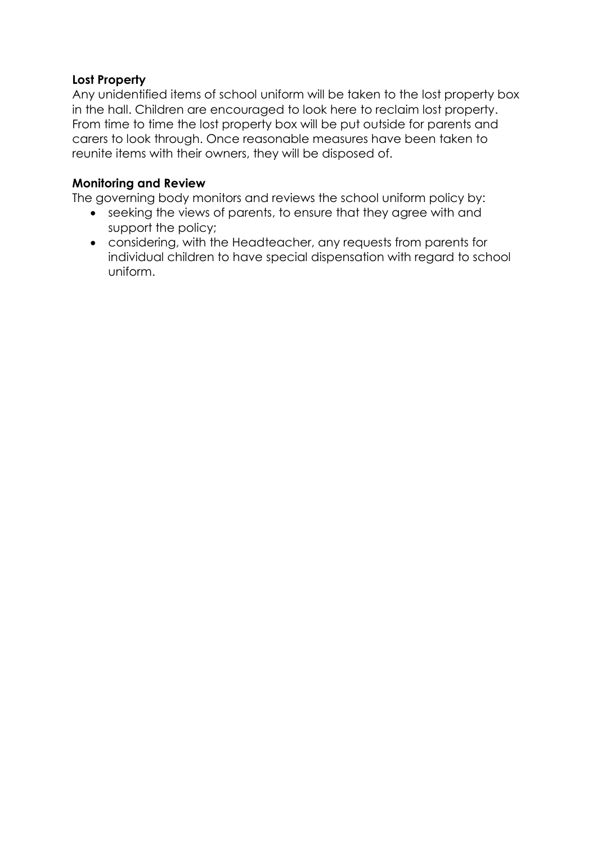#### **Lost Property**

Any unidentified items of school uniform will be taken to the lost property box in the hall. Children are encouraged to look here to reclaim lost property. From time to time the lost property box will be put outside for parents and carers to look through. Once reasonable measures have been taken to reunite items with their owners, they will be disposed of.

#### **Monitoring and Review**

The governing body monitors and reviews the school uniform policy by:

- seeking the views of parents, to ensure that they agree with and support the policy;
- considering, with the Headteacher, any requests from parents for individual children to have special dispensation with regard to school uniform.